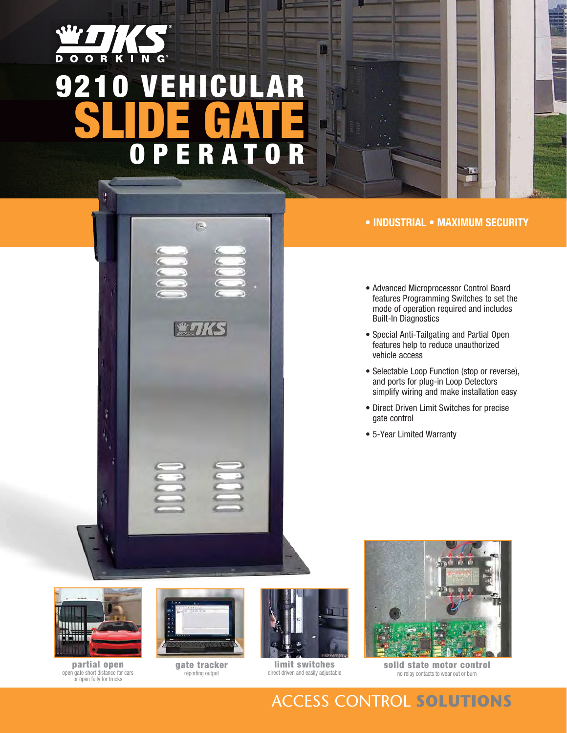

# 9210 VEHICULA SLIDE GATE O P E R A T O R



### **• INDUSTRIAL • MAXIMUM SECURITY**

- Advanced Microprocessor Control Board features Programming Switches to set the mode of operation required and includes Built-In Diagnostics
- Special Anti-Tailgating and Partial Open features help to reduce unauthorized vehicle access
- Selectable Loop Function (stop or reverse), and ports for plug-in Loop Detectors simplify wiring and make installation easy
- Direct Driven Limit Switches for precise gate control
- 5-Year Limited Warranty



partial open open gate short distance for cars or open fully for trucks



gate tracker reporting output



m

limit switches direct driven and easily adjustable



solid state motor control no relay contacts to wear out or burn

ACCESS CONTROL **SOLUTIONS**